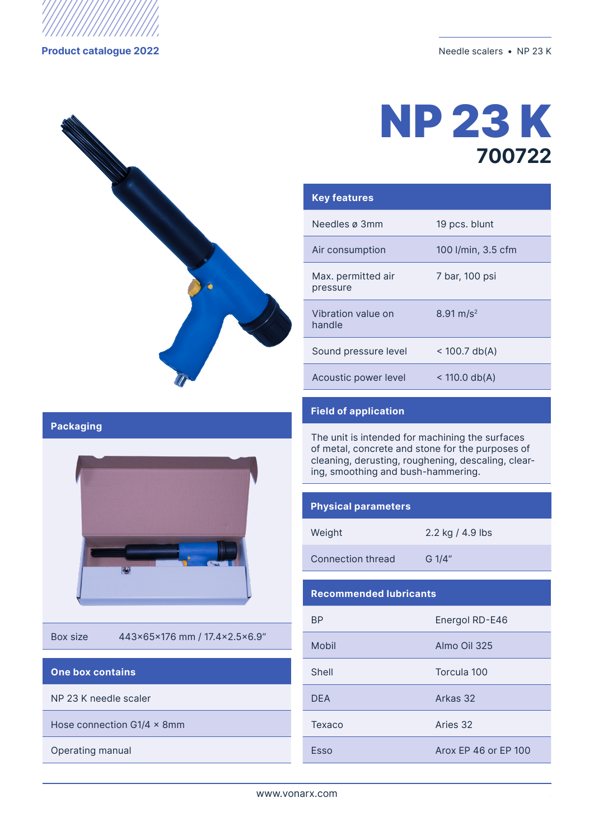





| <b>Key features</b>            |                         |
|--------------------------------|-------------------------|
| Needles ø 3mm                  | 19 pcs. blunt           |
| Air consumption                | 100 l/min, 3.5 cfm      |
| Max. permitted air<br>pressure | 7 bar, 100 psi          |
| Vibration value on<br>handle   | $8.91 \,\mathrm{m/s^2}$ |
| Sound pressure level           | $<$ 100.7 db(A)         |
| Acoustic power level           | $<$ 110.0 db(A)         |

## **Field of application**

The unit is intended for machining the surfaces of metal, concrete and stone for the purposes of cleaning, derusting, roughening, descaling, clearing, smoothing and bush-hammering.

#### **Physical parameters**

Weight 2.2 kg / 4.9 lbs

Connection thread G 1/4"

### **Recommended lubricants**

| <b>BP</b>  | Energol RD-E46       |
|------------|----------------------|
| Mobil      | Almo Oil 325         |
| Shell      | Torcula 100          |
| <b>DEA</b> | Arkas 32             |
| Texaco     | Aries 32             |
| Esso       | Arox FP 46 or FP 100 |

#### **Packaging**



Box size 443x65x176 mm / 17.4x2.5x6.9"

#### **One box contains**

NP 23 K needle scaler

Hose connection G1/4  $\times$  8mm

Operating manual